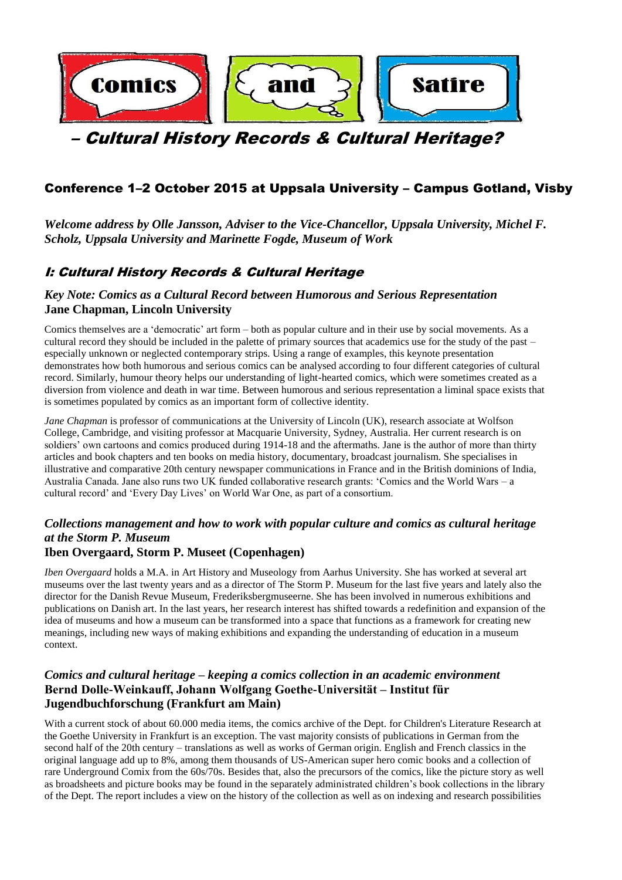

# – Cultural History Records & Cultural Heritage?

# Conference 1–2 October 2015 at Uppsala University – Campus Gotland, Visby

*Welcome address by Olle Jansson, Adviser to the Vice-Chancellor, Uppsala University, Michel F. Scholz, Uppsala University and Marinette Fogde, Museum of Work* 

# I: Cultural History Records & Cultural Heritage

context.

### *Key Note: Comics as a Cultural Record between Humorous and Serious Representation* **Jane Chapman, Lincoln University**

Comics themselves are a 'democratic' art form – both as popular culture and in their use by social movements. As a cultural record they should be included in the palette of primary sources that academics use for the study of the past – especially unknown or neglected contemporary strips. Using a range of examples, this keynote presentation demonstrates how both humorous and serious comics can be analysed according to four different categories of cultural record. Similarly, humour theory helps our understanding of light-hearted comics, which were sometimes created as a diversion from violence and death in war time. Between humorous and serious representation a liminal space exists that is sometimes populated by comics as an important form of collective identity.

*Jane Chapman* is professor of communications at the University of Lincoln (UK), research associate at Wolfson College, Cambridge, and visiting professor at Macquarie University, Sydney, Australia. Her current research is on soldiers' own cartoons and comics produced during 1914-18 and the aftermaths. Jane is the author of more than thirty articles and book chapters and ten books on media history, documentary, broadcast journalism. She specialises in illustrative and comparative 20th century newspaper communications in France and in the British dominions of India, Australia Canada. Jane also runs two UK funded collaborative research grants: 'Comics and the World Wars – a cultural record' and 'Every Day Lives' on World War One, as part of a consortium.

### *Collections management and how to work with popular culture and comics as cultural heritage at the Storm P. Museum* **Iben Overgaard, Storm P. Museet (Copenhagen)**

#### *Iben Overgaard* holds a M.A. in Art History and Museology from Aarhus University. She has worked at several art museums over the last twenty years and as a director of The Storm P. Museum for the last five years and lately also the director for the Danish Revue Museum, Frederiksbergmuseerne. She has been involved in numerous exhibitions and publications on Danish art. In the last years, her research interest has shifted towards a redefinition and expansion of the idea of museums and how a museum can be transformed into a space that functions as a framework for creating new meanings, including new ways of making exhibitions and expanding the understanding of education in a museum

# *Comics and cultural heritage – keeping a comics collection in an academic environment* **Bernd Dolle-Weinkauff, Johann Wolfgang Goethe-Universität – Institut für Jugendbuchforschung (Frankfurt am Main)**

With a current stock of about 60.000 media items, the comics archive of the Dept. for Children's Literature Research at the Goethe University in Frankfurt is an exception. The vast majority consists of publications in German from the second half of the 20th century – translations as well as works of German origin. English and French classics in the original language add up to 8%, among them thousands of US-American super hero comic books and a collection of rare Underground Comix from the 60s/70s. Besides that, also the precursors of the comics, like the picture story as well as broadsheets and picture books may be found in the separately administrated children's book collections in the library of the Dept. The report includes a view on the history of the collection as well as on indexing and research possibilities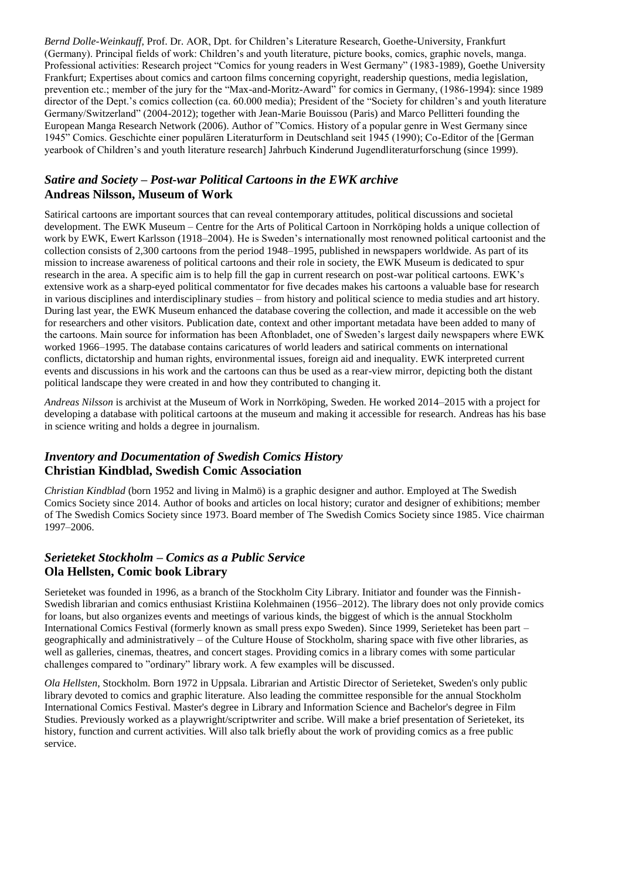*Bernd Dolle-Weinkauff*, Prof. Dr. AOR, Dpt. for Children's Literature Research, Goethe-University, Frankfurt (Germany). Principal fields of work: Children's and youth literature, picture books, comics, graphic novels, manga. Professional activities: Research project "Comics for young readers in West Germany" (1983-1989), Goethe University Frankfurt; Expertises about comics and cartoon films concerning copyright, readership questions, media legislation, prevention etc.; member of the jury for the "Max-and-Moritz-Award" for comics in Germany, (1986-1994): since 1989 director of the Dept.'s comics collection (ca. 60.000 media); President of the "Society for children's and youth literature Germany/Switzerland" (2004-2012); together with Jean-Marie Bouissou (Paris) and Marco Pellitteri founding the European Manga Research Network (2006). Author of "Comics. History of a popular genre in West Germany since 1945" Comics. Geschichte einer populären Literaturform in Deutschland seit 1945 (1990); Co-Editor of the [German yearbook of Children's and youth literature research] Jahrbuch Kinderund Jugendliteraturforschung (since 1999).

### *Satire and Society – Post-war Political Cartoons in the EWK archive* **Andreas Nilsson, Museum of Work**

Satirical cartoons are important sources that can reveal contemporary attitudes, political discussions and societal development. The EWK Museum – Centre for the Arts of Political Cartoon in Norrköping holds a unique collection of work by EWK, Ewert Karlsson (1918–2004). He is Sweden's internationally most renowned political cartoonist and the collection consists of 2,300 cartoons from the period 1948–1995, published in newspapers worldwide. As part of its mission to increase awareness of political cartoons and their role in society, the EWK Museum is dedicated to spur research in the area. A specific aim is to help fill the gap in current research on post-war political cartoons. EWK's extensive work as a sharp-eyed political commentator for five decades makes his cartoons a valuable base for research in various disciplines and interdisciplinary studies – from history and political science to media studies and art history. During last year, the EWK Museum enhanced the database covering the collection, and made it accessible on the web for researchers and other visitors. Publication date, context and other important metadata have been added to many of the cartoons. Main source for information has been Aftonbladet, one of Sweden's largest daily newspapers where EWK worked 1966–1995. The database contains caricatures of world leaders and satirical comments on international conflicts, dictatorship and human rights, environmental issues, foreign aid and inequality. EWK interpreted current events and discussions in his work and the cartoons can thus be used as a rear-view mirror, depicting both the distant political landscape they were created in and how they contributed to changing it.

*Andreas Nilsson* is archivist at the Museum of Work in Norrköping, Sweden. He worked 2014–2015 with a project for developing a database with political cartoons at the museum and making it accessible for research. Andreas has his base in science writing and holds a degree in journalism.

### *Inventory and Documentation of Swedish Comics History* **Christian Kindblad, Swedish Comic Association**

*Christian Kindblad* (born 1952 and living in Malmö) is a graphic designer and author. Employed at The Swedish Comics Society since 2014. Author of books and articles on local history; curator and designer of exhibitions; member of The Swedish Comics Society since 1973. Board member of The Swedish Comics Society since 1985. Vice chairman 1997–2006.

### *Serieteket Stockholm – Comics as a Public Service* **Ola Hellsten, Comic book Library**

Serieteket was founded in 1996, as a branch of the Stockholm City Library. Initiator and founder was the Finnish-Swedish librarian and comics enthusiast Kristiina Kolehmainen (1956–2012). The library does not only provide comics for loans, but also organizes events and meetings of various kinds, the biggest of which is the annual Stockholm International Comics Festival (formerly known as small press expo Sweden). Since 1999, Serieteket has been part – geographically and administratively – of the Culture House of Stockholm, sharing space with five other libraries, as well as galleries, cinemas, theatres, and concert stages. Providing comics in a library comes with some particular challenges compared to "ordinary" library work. A few examples will be discussed.

*Ola Hellsten*, Stockholm. Born 1972 in Uppsala. Librarian and Artistic Director of Serieteket, Sweden's only public library devoted to comics and graphic literature. Also leading the committee responsible for the annual Stockholm International Comics Festival. Master's degree in Library and Information Science and Bachelor's degree in Film Studies. Previously worked as a playwright/scriptwriter and scribe. Will make a brief presentation of Serieteket, its history, function and current activities. Will also talk briefly about the work of providing comics as a free public service.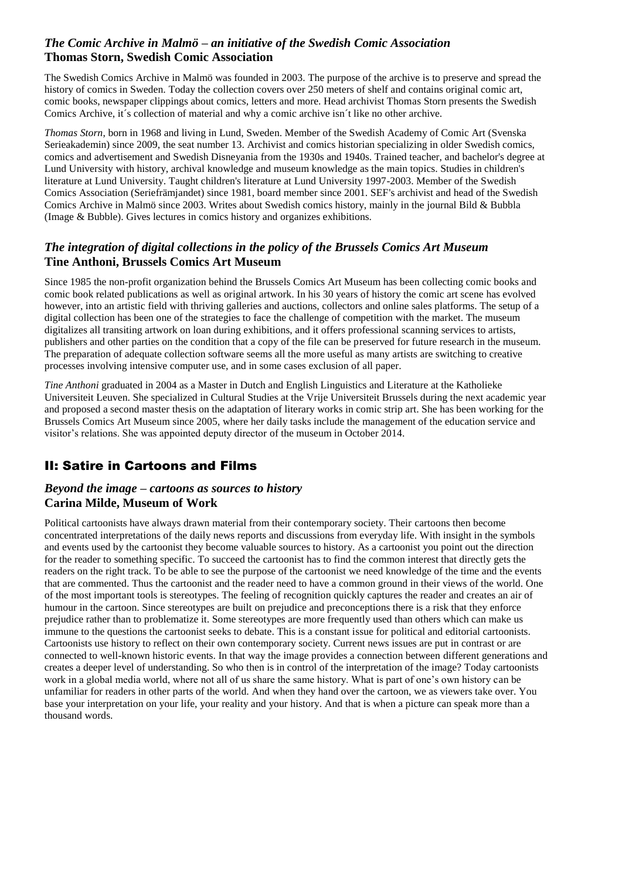### *The Comic Archive in Malmö – an initiative of the Swedish Comic Association* **Thomas Storn, Swedish Comic Association**

The Swedish Comics Archive in Malmö was founded in 2003. The purpose of the archive is to preserve and spread the history of comics in Sweden. Today the collection covers over 250 meters of shelf and contains original comic art, comic books, newspaper clippings about comics, letters and more. Head archivist Thomas Storn presents the Swedish Comics Archive, it´s collection of material and why a comic archive isn´t like no other archive.

*Thomas Storn*, born in 1968 and living in Lund, Sweden. Member of the Swedish Academy of Comic Art (Svenska Serieakademin) since 2009, the seat number 13. Archivist and comics historian specializing in older Swedish comics, comics and advertisement and Swedish Disneyania from the 1930s and 1940s. Trained teacher, and bachelor's degree at Lund University with history, archival knowledge and museum knowledge as the main topics. Studies in children's literature at Lund University. Taught children's literature at Lund University 1997-2003. Member of the Swedish Comics Association (Seriefrämjandet) since 1981, board member since 2001. SEF's archivist and head of the Swedish Comics Archive in Malmö since 2003. Writes about Swedish comics history, mainly in the journal Bild & Bubbla (Image & Bubble). Gives lectures in comics history and organizes exhibitions.

### *The integration of digital collections in the policy of the Brussels Comics Art Museum* **Tine Anthoni, Brussels Comics Art Museum**

Since 1985 the non-profit organization behind the Brussels Comics Art Museum has been collecting comic books and comic book related publications as well as original artwork. In his 30 years of history the comic art scene has evolved however, into an artistic field with thriving galleries and auctions, collectors and online sales platforms. The setup of a digital collection has been one of the strategies to face the challenge of competition with the market. The museum digitalizes all transiting artwork on loan during exhibitions, and it offers professional scanning services to artists, publishers and other parties on the condition that a copy of the file can be preserved for future research in the museum. The preparation of adequate collection software seems all the more useful as many artists are switching to creative processes involving intensive computer use, and in some cases exclusion of all paper.

*Tine Anthoni* graduated in 2004 as a Master in Dutch and English Linguistics and Literature at the Katholieke Universiteit Leuven. She specialized in Cultural Studies at the Vrije Universiteit Brussels during the next academic year and proposed a second master thesis on the adaptation of literary works in comic strip art. She has been working for the Brussels Comics Art Museum since 2005, where her daily tasks include the management of the education service and visitor's relations. She was appointed deputy director of the museum in October 2014.

# II: Satire in Cartoons and Films

### *Beyond the image – cartoons as sources to history* **Carina Milde, Museum of Work**

Political cartoonists have always drawn material from their contemporary society. Their cartoons then become concentrated interpretations of the daily news reports and discussions from everyday life. With insight in the symbols and events used by the cartoonist they become valuable sources to history. As a cartoonist you point out the direction for the reader to something specific. To succeed the cartoonist has to find the common interest that directly gets the readers on the right track. To be able to see the purpose of the cartoonist we need knowledge of the time and the events that are commented. Thus the cartoonist and the reader need to have a common ground in their views of the world. One of the most important tools is stereotypes. The feeling of recognition quickly captures the reader and creates an air of humour in the cartoon. Since stereotypes are built on prejudice and preconceptions there is a risk that they enforce prejudice rather than to problematize it. Some stereotypes are more frequently used than others which can make us immune to the questions the cartoonist seeks to debate. This is a constant issue for political and editorial cartoonists. Cartoonists use history to reflect on their own contemporary society. Current news issues are put in contrast or are connected to well-known historic events. In that way the image provides a connection between different generations and creates a deeper level of understanding. So who then is in control of the interpretation of the image? Today cartoonists work in a global media world, where not all of us share the same history. What is part of one's own history can be unfamiliar for readers in other parts of the world. And when they hand over the cartoon, we as viewers take over. You base your interpretation on your life, your reality and your history. And that is when a picture can speak more than a thousand words.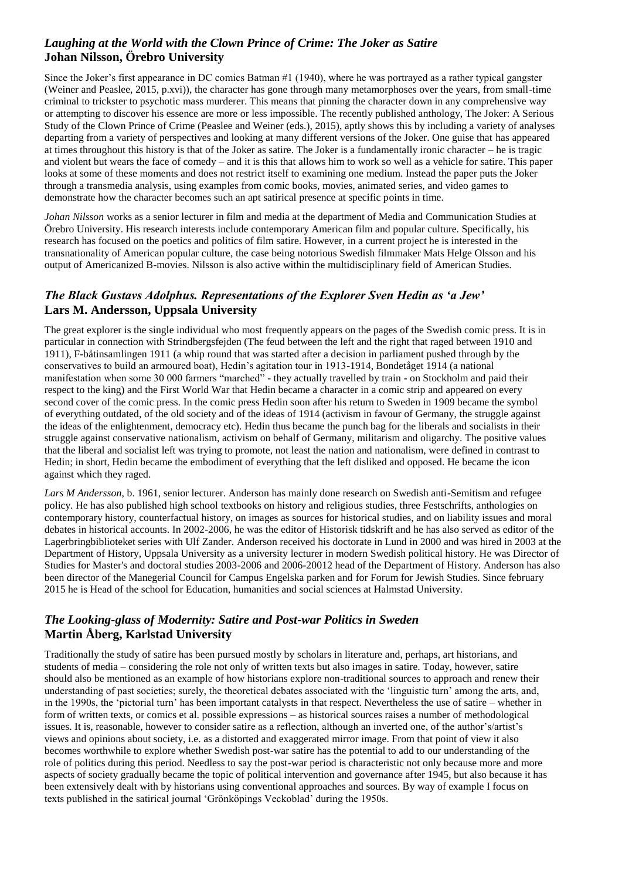### *Laughing at the World with the Clown Prince of Crime: The Joker as Satire* **Johan Nilsson, Örebro University**

Since the Joker's first appearance in DC comics Batman #1 (1940), where he was portrayed as a rather typical gangster (Weiner and Peaslee, 2015, p.xvi)), the character has gone through many metamorphoses over the years, from small-time criminal to trickster to psychotic mass murderer. This means that pinning the character down in any comprehensive way or attempting to discover his essence are more or less impossible. The recently published anthology, The Joker: A Serious Study of the Clown Prince of Crime (Peaslee and Weiner (eds.), 2015), aptly shows this by including a variety of analyses departing from a variety of perspectives and looking at many different versions of the Joker. One guise that has appeared at times throughout this history is that of the Joker as satire. The Joker is a fundamentally ironic character – he is tragic and violent but wears the face of comedy – and it is this that allows him to work so well as a vehicle for satire. This paper looks at some of these moments and does not restrict itself to examining one medium. Instead the paper puts the Joker through a transmedia analysis, using examples from comic books, movies, animated series, and video games to demonstrate how the character becomes such an apt satirical presence at specific points in time.

*Johan Nilsson* works as a senior lecturer in film and media at the department of Media and Communication Studies at Örebro University. His research interests include contemporary American film and popular culture. Specifically, his research has focused on the poetics and politics of film satire. However, in a current project he is interested in the transnationality of American popular culture, the case being notorious Swedish filmmaker Mats Helge Olsson and his output of Americanized B-movies. Nilsson is also active within the multidisciplinary field of American Studies.

# *The Black Gustavs Adolphus. Representations of the Explorer Sven Hedin as 'a Jew'* **Lars M. Andersson, Uppsala University**

The great explorer is the single individual who most frequently appears on the pages of the Swedish comic press. It is in particular in connection with Strindbergsfejden (The feud between the left and the right that raged between 1910 and 1911), F-båtinsamlingen 1911 (a whip round that was started after a decision in parliament pushed through by the conservatives to build an armoured boat), Hedin's agitation tour in 1913-1914, Bondetåget 1914 (a national manifestation when some 30 000 farmers "marched" - they actually travelled by train - on Stockholm and paid their respect to the king) and the First World War that Hedin became a character in a comic strip and appeared on every second cover of the comic press. In the comic press Hedin soon after his return to Sweden in 1909 became the symbol of everything outdated, of the old society and of the ideas of 1914 (activism in favour of Germany, the struggle against the ideas of the enlightenment, democracy etc). Hedin thus became the punch bag for the liberals and socialists in their struggle against conservative nationalism, activism on behalf of Germany, militarism and oligarchy. The positive values that the liberal and socialist left was trying to promote, not least the nation and nationalism, were defined in contrast to Hedin; in short, Hedin became the embodiment of everything that the left disliked and opposed. He became the icon against which they raged.

*Lars M Andersson*, b. 1961, senior lecturer. Anderson has mainly done research on Swedish anti-Semitism and refugee policy. He has also published high school textbooks on history and religious studies, three Festschrifts, anthologies on contemporary history, counterfactual history, on images as sources for historical studies, and on liability issues and moral debates in historical accounts. In 2002-2006, he was the editor of Historisk tidskrift and he has also served as editor of the Lagerbringbiblioteket series with Ulf Zander. Anderson received his doctorate in Lund in 2000 and was hired in 2003 at the Department of History, Uppsala University as a university lecturer in modern Swedish political history. He was Director of Studies for Master's and doctoral studies 2003-2006 and 2006-20012 head of the Department of History. Anderson has also been director of the Manegerial Council for Campus Engelska parken and for Forum for Jewish Studies. Since february 2015 he is Head of the school for Education, humanities and social sciences at Halmstad University.

# *The Looking-glass of Modernity: Satire and Post-war Politics in Sweden* **Martin Åberg, Karlstad University**

Traditionally the study of satire has been pursued mostly by scholars in literature and, perhaps, art historians, and students of media – considering the role not only of written texts but also images in satire. Today, however, satire should also be mentioned as an example of how historians explore non-traditional sources to approach and renew their understanding of past societies; surely, the theoretical debates associated with the 'linguistic turn' among the arts, and, in the 1990s, the 'pictorial turn' has been important catalysts in that respect. Nevertheless the use of satire – whether in form of written texts, or comics et al. possible expressions – as historical sources raises a number of methodological issues. It is, reasonable, however to consider satire as a reflection, although an inverted one, of the author's/artist's views and opinions about society, i.e. as a distorted and exaggerated mirror image. From that point of view it also becomes worthwhile to explore whether Swedish post-war satire has the potential to add to our understanding of the role of politics during this period. Needless to say the post-war period is characteristic not only because more and more aspects of society gradually became the topic of political intervention and governance after 1945, but also because it has been extensively dealt with by historians using conventional approaches and sources. By way of example I focus on texts published in the satirical journal 'Grönköpings Veckoblad' during the 1950s.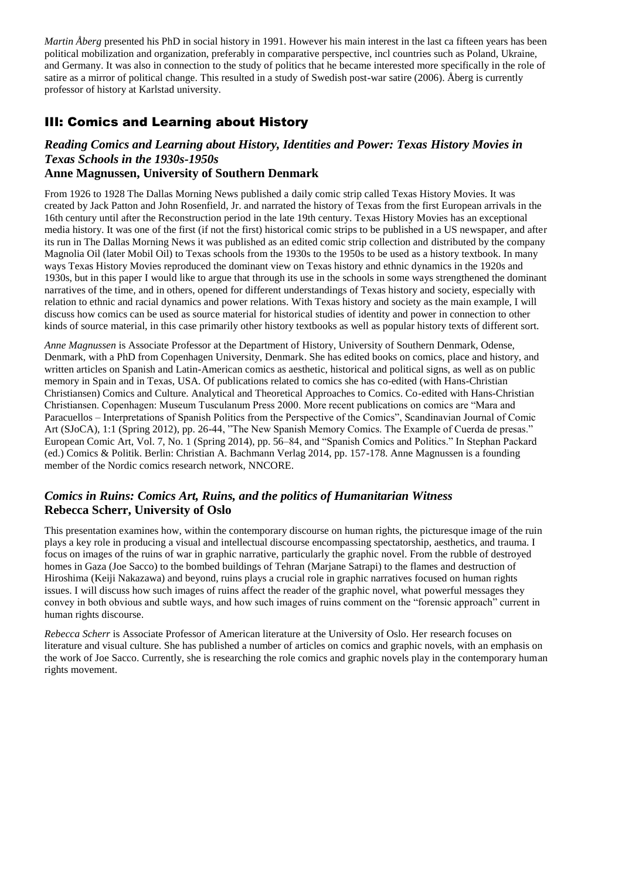*Martin Åberg* presented his PhD in social history in 1991. However his main interest in the last ca fifteen years has been political mobilization and organization, preferably in comparative perspective, incl countries such as Poland, Ukraine, and Germany. It was also in connection to the study of politics that he became interested more specifically in the role of satire as a mirror of political change. This resulted in a study of Swedish post-war satire (2006). Åberg is currently professor of history at Karlstad university.

# III: Comics and Learning about History

# *Reading Comics and Learning about History, Identities and Power: Texas History Movies in Texas Schools in the 1930s-1950s*

### **Anne Magnussen, University of Southern Denmark**

From 1926 to 1928 The Dallas Morning News published a daily comic strip called Texas History Movies. It was created by Jack Patton and John Rosenfield, Jr. and narrated the history of Texas from the first European arrivals in the 16th century until after the Reconstruction period in the late 19th century. Texas History Movies has an exceptional media history. It was one of the first (if not the first) historical comic strips to be published in a US newspaper, and after its run in The Dallas Morning News it was published as an edited comic strip collection and distributed by the company Magnolia Oil (later Mobil Oil) to Texas schools from the 1930s to the 1950s to be used as a history textbook. In many ways Texas History Movies reproduced the dominant view on Texas history and ethnic dynamics in the 1920s and 1930s, but in this paper I would like to argue that through its use in the schools in some ways strengthened the dominant narratives of the time, and in others, opened for different understandings of Texas history and society, especially with relation to ethnic and racial dynamics and power relations. With Texas history and society as the main example, I will discuss how comics can be used as source material for historical studies of identity and power in connection to other kinds of source material, in this case primarily other history textbooks as well as popular history texts of different sort.

*Anne Magnussen* is Associate Professor at the Department of History, University of Southern Denmark, Odense, Denmark, with a PhD from Copenhagen University, Denmark. She has edited books on comics, place and history, and written articles on Spanish and Latin-American comics as aesthetic, historical and political signs, as well as on public memory in Spain and in Texas, USA. Of publications related to comics she has co-edited (with Hans-Christian Christiansen) Comics and Culture. Analytical and Theoretical Approaches to Comics. Co-edited with Hans-Christian Christiansen. Copenhagen: Museum Tusculanum Press 2000. More recent publications on comics are "Mara and Paracuellos – Interpretations of Spanish Politics from the Perspective of the Comics", Scandinavian Journal of Comic Art (SJoCA), 1:1 (Spring 2012), pp. 26-44, "The New Spanish Memory Comics. The Example of Cuerda de presas." European Comic Art, Vol. 7, No. 1 (Spring 2014), pp. 56–84, and "Spanish Comics and Politics." In Stephan Packard (ed.) Comics & Politik. Berlin: Christian A. Bachmann Verlag 2014, pp. 157-178. Anne Magnussen is a founding member of the Nordic comics research network, NNCORE.

### *Comics in Ruins: Comics Art, Ruins, and the politics of Humanitarian Witness* **Rebecca Scherr, University of Oslo**

This presentation examines how, within the contemporary discourse on human rights, the picturesque image of the ruin plays a key role in producing a visual and intellectual discourse encompassing spectatorship, aesthetics, and trauma. I focus on images of the ruins of war in graphic narrative, particularly the graphic novel. From the rubble of destroyed homes in Gaza (Joe Sacco) to the bombed buildings of Tehran (Marjane Satrapi) to the flames and destruction of Hiroshima (Keiji Nakazawa) and beyond, ruins plays a crucial role in graphic narratives focused on human rights issues. I will discuss how such images of ruins affect the reader of the graphic novel, what powerful messages they convey in both obvious and subtle ways, and how such images of ruins comment on the "forensic approach" current in human rights discourse.

*Rebecca Scherr* is Associate Professor of American literature at the University of Oslo. Her research focuses on literature and visual culture. She has published a number of articles on comics and graphic novels, with an emphasis on the work of Joe Sacco. Currently, she is researching the role comics and graphic novels play in the contemporary human rights movement.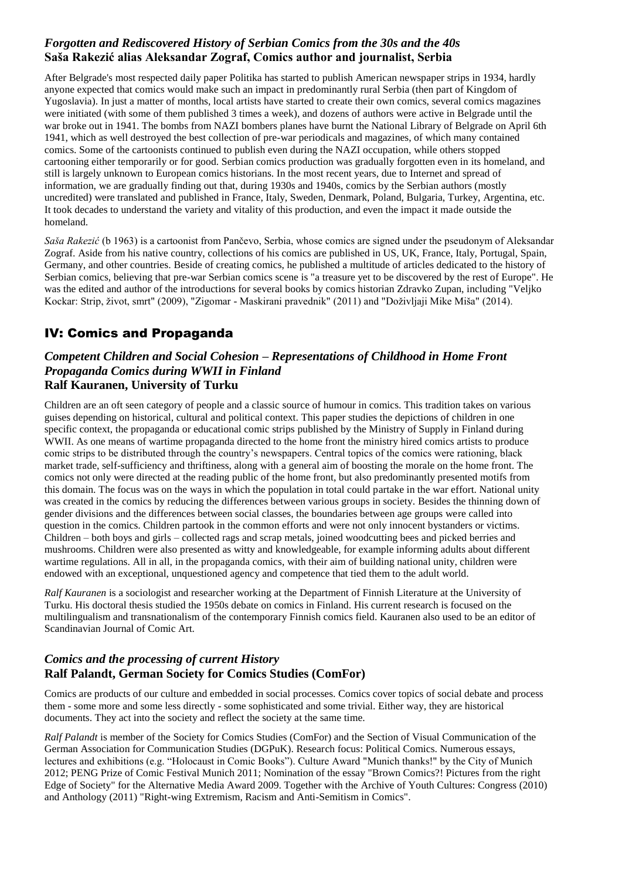### *Forgotten and Rediscovered History of Serbian Comics from the 30s and the 40s* **Saša Rakezić alias Aleksandar Zograf, Comics author and journalist, Serbia**

After Belgrade's most respected daily paper Politika has started to publish American newspaper strips in 1934, hardly anyone expected that comics would make such an impact in predominantly rural Serbia (then part of Kingdom of Yugoslavia). In just a matter of months, local artists have started to create their own comics, several comics magazines were initiated (with some of them published 3 times a week), and dozens of authors were active in Belgrade until the war broke out in 1941. The bombs from NAZI bombers planes have burnt the National Library of Belgrade on April 6th 1941, which as well destroyed the best collection of pre-war periodicals and magazines, of which many contained comics. Some of the cartoonists continued to publish even during the NAZI occupation, while others stopped cartooning either temporarily or for good. Serbian comics production was gradually forgotten even in its homeland, and still is largely unknown to European comics historians. In the most recent years, due to Internet and spread of information, we are gradually finding out that, during 1930s and 1940s, comics by the Serbian authors (mostly uncredited) were translated and published in France, Italy, Sweden, Denmark, Poland, Bulgaria, Turkey, Argentina, etc. It took decades to understand the variety and vitality of this production, and even the impact it made outside the homeland.

*Saša Rakezić* (b 1963) is a cartoonist from Pančevo, Serbia, whose comics are signed under the pseudonym of Aleksandar Zograf. Aside from his native country, collections of his comics are published in US, UK, France, Italy, Portugal, Spain, Germany, and other countries. Beside of creating comics, he published a multitude of articles dedicated to the history of Serbian comics, believing that pre-war Serbian comics scene is "a treasure yet to be discovered by the rest of Europe". He was the edited and author of the introductions for several books by comics historian Zdravko Zupan, including "Veljko Kockar: Strip, život, smrt" (2009), "Zigomar - Maskirani pravednik" (2011) and "Doživljaji Mike Miša" (2014).

# IV: Comics and Propaganda

### *Competent Children and Social Cohesion – Representations of Childhood in Home Front Propaganda Comics during WWII in Finland* **Ralf Kauranen, University of Turku**

Children are an oft seen category of people and a classic source of humour in comics. This tradition takes on various guises depending on historical, cultural and political context. This paper studies the depictions of children in one specific context, the propaganda or educational comic strips published by the Ministry of Supply in Finland during WWII. As one means of wartime propaganda directed to the home front the ministry hired comics artists to produce comic strips to be distributed through the country's newspapers. Central topics of the comics were rationing, black market trade, self-sufficiency and thriftiness, along with a general aim of boosting the morale on the home front. The comics not only were directed at the reading public of the home front, but also predominantly presented motifs from this domain. The focus was on the ways in which the population in total could partake in the war effort. National unity was created in the comics by reducing the differences between various groups in society. Besides the thinning down of gender divisions and the differences between social classes, the boundaries between age groups were called into question in the comics. Children partook in the common efforts and were not only innocent bystanders or victims. Children – both boys and girls – collected rags and scrap metals, joined woodcutting bees and picked berries and mushrooms. Children were also presented as witty and knowledgeable, for example informing adults about different wartime regulations. All in all, in the propaganda comics, with their aim of building national unity, children were endowed with an exceptional, unquestioned agency and competence that tied them to the adult world.

*Ralf Kauranen* is a sociologist and researcher working at the Department of Finnish Literature at the University of Turku. His doctoral thesis studied the 1950s debate on comics in Finland. His current research is focused on the multilingualism and transnationalism of the contemporary Finnish comics field. Kauranen also used to be an editor of Scandinavian Journal of Comic Art.

### *Comics and the processing of current History* **Ralf Palandt, German Society for Comics Studies (ComFor)**

Comics are products of our culture and embedded in social processes. Comics cover topics of social debate and process them - some more and some less directly - some sophisticated and some trivial. Either way, they are historical documents. They act into the society and reflect the society at the same time.

*Ralf Palandt* is member of the Society for Comics Studies (ComFor) and the Section of Visual Communication of the German Association for Communication Studies (DGPuK). Research focus: Political Comics. Numerous essays, lectures and exhibitions (e.g. "Holocaust in Comic Books"). Culture Award "Munich thanks!" by the City of Munich 2012; PENG Prize of Comic Festival Munich 2011; Nomination of the essay "Brown Comics?! Pictures from the right Edge of Society" for the Alternative Media Award 2009. Together with the Archive of Youth Cultures: Congress (2010) and Anthology (2011) "Right-wing Extremism, Racism and Anti-Semitism in Comics".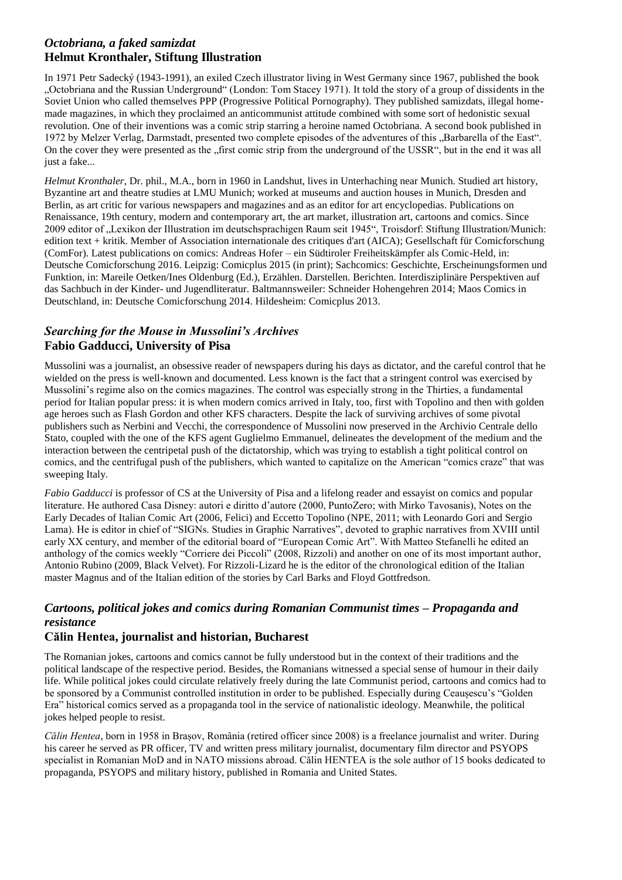### *Octobriana, a faked samizdat* **Helmut Kronthaler, Stiftung Illustration**

In 1971 Petr Sadecký (1943-1991), an exiled Czech illustrator living in West Germany since 1967, published the book "Octobriana and the Russian Underground" (London: Tom Stacey 1971). It told the story of a group of dissidents in the Soviet Union who called themselves PPP (Progressive Political Pornography). They published samizdats, illegal homemade magazines, in which they proclaimed an anticommunist attitude combined with some sort of hedonistic sexual revolution. One of their inventions was a comic strip starring a heroine named Octobriana. A second book published in 1972 by Melzer Verlag, Darmstadt, presented two complete episodes of the adventures of this "Barbarella of the East". On the cover they were presented as the "first comic strip from the underground of the USSR", but in the end it was all just a fake...

*Helmut Kronthaler*, Dr. phil., M.A., born in 1960 in Landshut, lives in Unterhaching near Munich. Studied art history, Byzantine art and theatre studies at LMU Munich; worked at museums and auction houses in Munich, Dresden and Berlin, as art critic for various newspapers and magazines and as an editor for art encyclopedias. Publications on Renaissance, 19th century, modern and contemporary art, the art market, illustration art, cartoons and comics. Since 2009 editor of "Lexikon der Illustration im deutschsprachigen Raum seit 1945", Troisdorf: Stiftung Illustration/Munich: edition text + kritik. Member of Association internationale des critiques d'art (AICA); Gesellschaft für Comicforschung (ComFor). Latest publications on comics: Andreas Hofer – ein Südtiroler Freiheitskämpfer als Comic-Held, in: Deutsche Comicforschung 2016. Leipzig: Comicplus 2015 (in print); Sachcomics: Geschichte, Erscheinungsformen und Funktion, in: Mareile Oetken/Ines Oldenburg (Ed.), Erzählen. Darstellen. Berichten. Interdisziplinäre Perspektiven auf das Sachbuch in der Kinder- und Jugendliteratur. Baltmannsweiler: Schneider Hohengehren 2014; Maos Comics in Deutschland, in: Deutsche Comicforschung 2014. Hildesheim: Comicplus 2013.

# *Searching for the Mouse in Mussolini's Archives* **Fabio Gadducci, University of Pisa**

Mussolini was a journalist, an obsessive reader of newspapers during his days as dictator, and the careful control that he wielded on the press is well-known and documented. Less known is the fact that a stringent control was exercised by Mussolini's regime also on the comics magazines. The control was especially strong in the Thirties, a fundamental period for Italian popular press: it is when modern comics arrived in Italy, too, first with Topolino and then with golden age heroes such as Flash Gordon and other KFS characters. Despite the lack of surviving archives of some pivotal publishers such as Nerbini and Vecchi, the correspondence of Mussolini now preserved in the Archivio Centrale dello Stato, coupled with the one of the KFS agent Guglielmo Emmanuel, delineates the development of the medium and the interaction between the centripetal push of the dictatorship, which was trying to establish a tight political control on comics, and the centrifugal push of the publishers, which wanted to capitalize on the American "comics craze" that was sweeping Italy.

*Fabio Gadducci* is professor of CS at the University of Pisa and a lifelong reader and essayist on comics and popular literature. He authored Casa Disney: autori e diritto d'autore (2000, PuntoZero; with Mirko Tavosanis), Notes on the Early Decades of Italian Comic Art (2006, Felici) and Eccetto Topolino (NPE, 2011; with Leonardo Gori and Sergio Lama). He is editor in chief of "SIGNs. Studies in Graphic Narratives", devoted to graphic narratives from XVIII until early XX century, and member of the editorial board of "European Comic Art". With Matteo Stefanelli he edited an anthology of the comics weekly "Corriere dei Piccoli" (2008, Rizzoli) and another on one of its most important author, Antonio Rubino (2009, Black Velvet). For Rizzoli-Lizard he is the editor of the chronological edition of the Italian master Magnus and of the Italian edition of the stories by Carl Barks and Floyd Gottfredson.

# *Cartoons, political jokes and comics during Romanian Communist times – Propaganda and resistance*

### **Călin Hentea, journalist and historian, Bucharest**

The Romanian jokes, cartoons and comics cannot be fully understood but in the context of their traditions and the political landscape of the respective period. Besides, the Romanians witnessed a special sense of humour in their daily life. While political jokes could circulate relatively freely during the late Communist period, cartoons and comics had to be sponsored by a Communist controlled institution in order to be published. Especially during Ceaușescu's "Golden Era" historical comics served as a propaganda tool in the service of nationalistic ideology. Meanwhile, the political jokes helped people to resist.

*Călin Hentea*, born in 1958 in Brașov, România (retired officer since 2008) is a freelance journalist and writer. During his career he served as PR officer, TV and written press military journalist, documentary film director and PSYOPS specialist in Romanian MoD and in NATO missions abroad. Călin HENTEA is the sole author of 15 books dedicated to propaganda, PSYOPS and military history, published in Romania and United States.